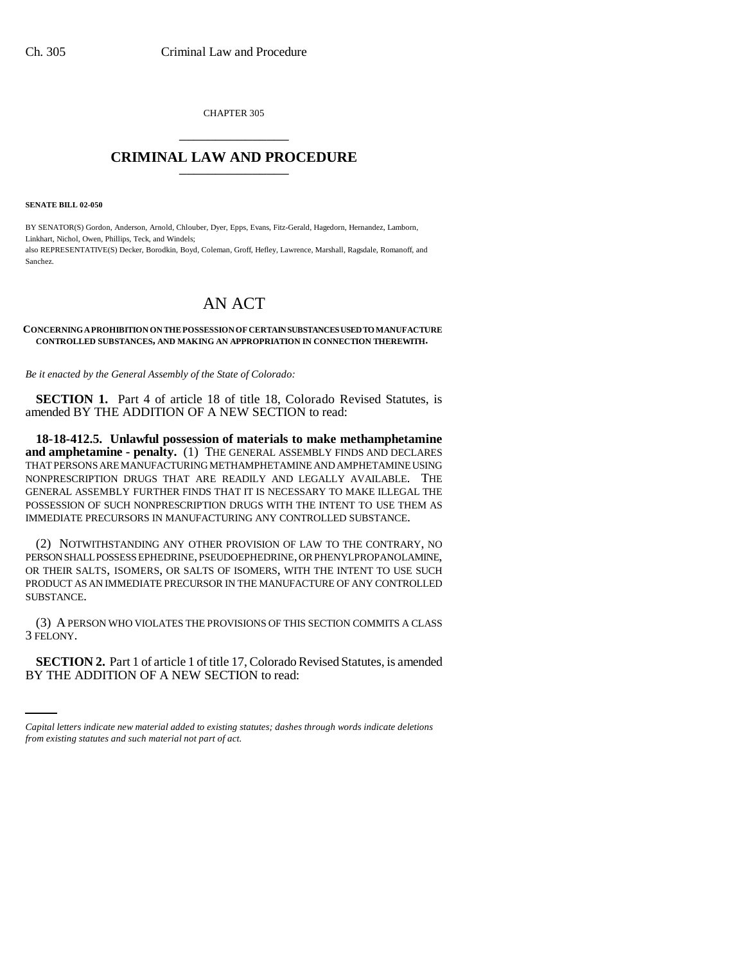CHAPTER 305 \_\_\_\_\_\_\_\_\_\_\_\_\_\_\_

## **CRIMINAL LAW AND PROCEDURE** \_\_\_\_\_\_\_\_\_\_\_\_\_\_\_

**SENATE BILL 02-050**

BY SENATOR(S) Gordon, Anderson, Arnold, Chlouber, Dyer, Epps, Evans, Fitz-Gerald, Hagedorn, Hernandez, Lamborn, Linkhart, Nichol, Owen, Phillips, Teck, and Windels; also REPRESENTATIVE(S) Decker, Borodkin, Boyd, Coleman, Groff, Hefley, Lawrence, Marshall, Ragsdale, Romanoff, and Sanchez.

## AN ACT

## **CONCERNING A PROHIBITION ON THE POSSESSION OF CERTAIN SUBSTANCES USED TO MANUFACTURE CONTROLLED SUBSTANCES, AND MAKING AN APPROPRIATION IN CONNECTION THEREWITH.**

*Be it enacted by the General Assembly of the State of Colorado:*

**SECTION 1.** Part 4 of article 18 of title 18, Colorado Revised Statutes, is amended BY THE ADDITION OF A NEW SECTION to read:

**18-18-412.5. Unlawful possession of materials to make methamphetamine and amphetamine - penalty.** (1) THE GENERAL ASSEMBLY FINDS AND DECLARES THAT PERSONS ARE MANUFACTURING METHAMPHETAMINE AND AMPHETAMINE USING NONPRESCRIPTION DRUGS THAT ARE READILY AND LEGALLY AVAILABLE. THE GENERAL ASSEMBLY FURTHER FINDS THAT IT IS NECESSARY TO MAKE ILLEGAL THE POSSESSION OF SUCH NONPRESCRIPTION DRUGS WITH THE INTENT TO USE THEM AS IMMEDIATE PRECURSORS IN MANUFACTURING ANY CONTROLLED SUBSTANCE.

(2) NOTWITHSTANDING ANY OTHER PROVISION OF LAW TO THE CONTRARY, NO PERSON SHALL POSSESS EPHEDRINE, PSEUDOEPHEDRINE, OR PHENYLPROPANOLAMINE, OR THEIR SALTS, ISOMERS, OR SALTS OF ISOMERS, WITH THE INTENT TO USE SUCH PRODUCT AS AN IMMEDIATE PRECURSOR IN THE MANUFACTURE OF ANY CONTROLLED SUBSTANCE.

(3) A PERSON WHO VIOLATES THE PROVISIONS OF THIS SECTION COMMITS A CLASS 3 FELONY.

 $\frac{1}{2}$ **SECTION 2.** Part 1 of article 1 of title 17, Colorado Revised Statutes, is amended BY THE ADDITION OF A NEW SECTION to read:

*Capital letters indicate new material added to existing statutes; dashes through words indicate deletions from existing statutes and such material not part of act.*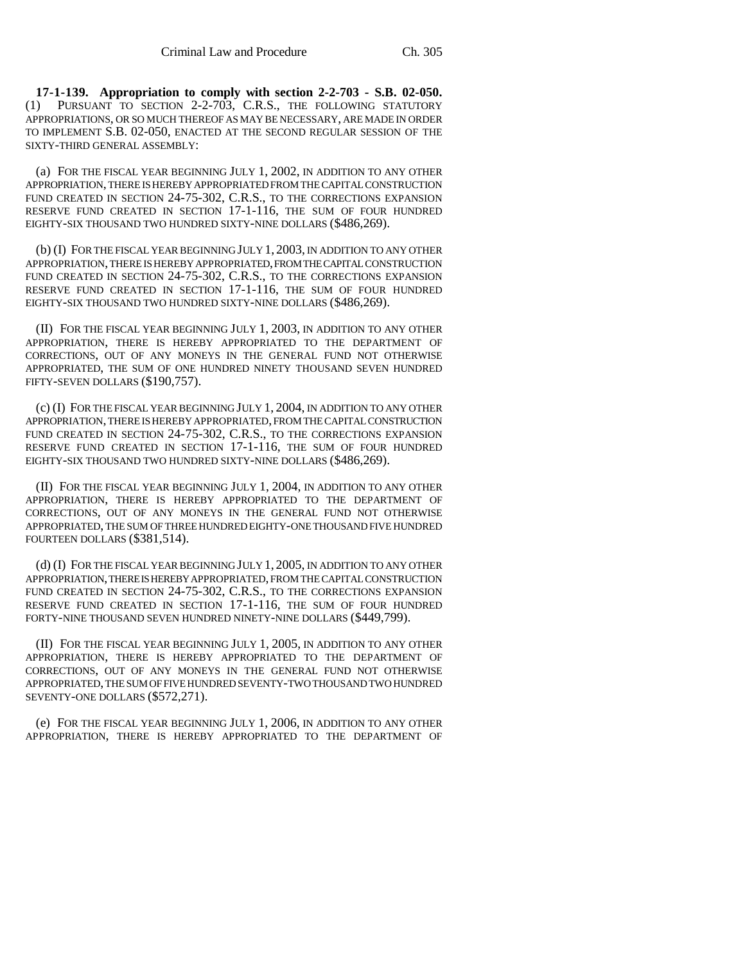**17-1-139. Appropriation to comply with section 2-2-703 - S.B. 02-050.** PURSUANT TO SECTION 2-2-703, C.R.S., THE FOLLOWING STATUTORY APPROPRIATIONS, OR SO MUCH THEREOF AS MAY BE NECESSARY, ARE MADE IN ORDER TO IMPLEMENT S.B. 02-050, ENACTED AT THE SECOND REGULAR SESSION OF THE SIXTY-THIRD GENERAL ASSEMBLY:

(a) FOR THE FISCAL YEAR BEGINNING JULY 1, 2002, IN ADDITION TO ANY OTHER APPROPRIATION, THERE IS HEREBY APPROPRIATED FROM THE CAPITAL CONSTRUCTION FUND CREATED IN SECTION 24-75-302, C.R.S., TO THE CORRECTIONS EXPANSION RESERVE FUND CREATED IN SECTION 17-1-116, THE SUM OF FOUR HUNDRED EIGHTY-SIX THOUSAND TWO HUNDRED SIXTY-NINE DOLLARS (\$486,269).

(b) (I) FOR THE FISCAL YEAR BEGINNING JULY 1, 2003, IN ADDITION TO ANY OTHER APPROPRIATION, THERE IS HEREBY APPROPRIATED, FROM THE CAPITAL CONSTRUCTION FUND CREATED IN SECTION 24-75-302, C.R.S., TO THE CORRECTIONS EXPANSION RESERVE FUND CREATED IN SECTION 17-1-116, THE SUM OF FOUR HUNDRED EIGHTY-SIX THOUSAND TWO HUNDRED SIXTY-NINE DOLLARS (\$486,269).

(II) FOR THE FISCAL YEAR BEGINNING JULY 1, 2003, IN ADDITION TO ANY OTHER APPROPRIATION, THERE IS HEREBY APPROPRIATED TO THE DEPARTMENT OF CORRECTIONS, OUT OF ANY MONEYS IN THE GENERAL FUND NOT OTHERWISE APPROPRIATED, THE SUM OF ONE HUNDRED NINETY THOUSAND SEVEN HUNDRED FIFTY-SEVEN DOLLARS (\$190,757).

(c) (I) FOR THE FISCAL YEAR BEGINNING JULY 1, 2004, IN ADDITION TO ANY OTHER APPROPRIATION, THERE IS HEREBY APPROPRIATED, FROM THE CAPITAL CONSTRUCTION FUND CREATED IN SECTION 24-75-302, C.R.S., TO THE CORRECTIONS EXPANSION RESERVE FUND CREATED IN SECTION 17-1-116, THE SUM OF FOUR HUNDRED EIGHTY-SIX THOUSAND TWO HUNDRED SIXTY-NINE DOLLARS (\$486,269).

(II) FOR THE FISCAL YEAR BEGINNING JULY 1, 2004, IN ADDITION TO ANY OTHER APPROPRIATION, THERE IS HEREBY APPROPRIATED TO THE DEPARTMENT OF CORRECTIONS, OUT OF ANY MONEYS IN THE GENERAL FUND NOT OTHERWISE APPROPRIATED, THE SUM OF THREE HUNDRED EIGHTY-ONE THOUSAND FIVE HUNDRED FOURTEEN DOLLARS (\$381,514).

(d) (I) FOR THE FISCAL YEAR BEGINNING JULY 1, 2005, IN ADDITION TO ANY OTHER APPROPRIATION, THERE IS HEREBY APPROPRIATED, FROM THE CAPITAL CONSTRUCTION FUND CREATED IN SECTION 24-75-302, C.R.S., TO THE CORRECTIONS EXPANSION RESERVE FUND CREATED IN SECTION 17-1-116, THE SUM OF FOUR HUNDRED FORTY-NINE THOUSAND SEVEN HUNDRED NINETY-NINE DOLLARS (\$449,799).

(II) FOR THE FISCAL YEAR BEGINNING JULY 1, 2005, IN ADDITION TO ANY OTHER APPROPRIATION, THERE IS HEREBY APPROPRIATED TO THE DEPARTMENT OF CORRECTIONS, OUT OF ANY MONEYS IN THE GENERAL FUND NOT OTHERWISE APPROPRIATED, THE SUM OF FIVE HUNDRED SEVENTY-TWO THOUSAND TWO HUNDRED SEVENTY-ONE DOLLARS (\$572,271).

(e) FOR THE FISCAL YEAR BEGINNING JULY 1, 2006, IN ADDITION TO ANY OTHER APPROPRIATION, THERE IS HEREBY APPROPRIATED TO THE DEPARTMENT OF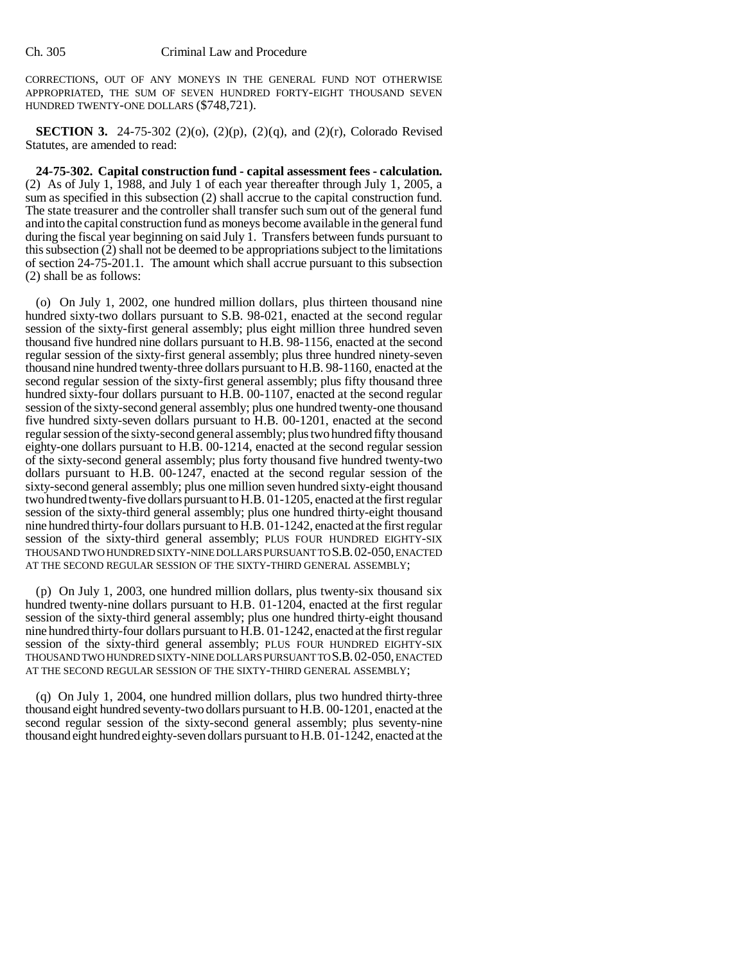CORRECTIONS, OUT OF ANY MONEYS IN THE GENERAL FUND NOT OTHERWISE APPROPRIATED, THE SUM OF SEVEN HUNDRED FORTY-EIGHT THOUSAND SEVEN HUNDRED TWENTY-ONE DOLLARS (\$748,721).

**SECTION 3.** 24-75-302 (2)(o), (2)(p), (2)(q), and (2)(r), Colorado Revised Statutes, are amended to read:

**24-75-302. Capital construction fund - capital assessment fees - calculation.** (2) As of July 1, 1988, and July 1 of each year thereafter through July 1, 2005, a sum as specified in this subsection (2) shall accrue to the capital construction fund. The state treasurer and the controller shall transfer such sum out of the general fund and into the capital construction fund as moneys become available in the general fund during the fiscal year beginning on said July 1. Transfers between funds pursuant to this subsection (2) shall not be deemed to be appropriations subject to the limitations of section 24-75-201.1. The amount which shall accrue pursuant to this subsection (2) shall be as follows:

(o) On July 1, 2002, one hundred million dollars, plus thirteen thousand nine hundred sixty-two dollars pursuant to S.B. 98-021, enacted at the second regular session of the sixty-first general assembly; plus eight million three hundred seven thousand five hundred nine dollars pursuant to H.B. 98-1156, enacted at the second regular session of the sixty-first general assembly; plus three hundred ninety-seven thousand nine hundred twenty-three dollars pursuant to H.B. 98-1160, enacted at the second regular session of the sixty-first general assembly; plus fifty thousand three hundred sixty-four dollars pursuant to H.B. 00-1107, enacted at the second regular session of the sixty-second general assembly; plus one hundred twenty-one thousand five hundred sixty-seven dollars pursuant to H.B. 00-1201, enacted at the second regular session of the sixty-second general assembly; plus two hundred fifty thousand eighty-one dollars pursuant to H.B. 00-1214, enacted at the second regular session of the sixty-second general assembly; plus forty thousand five hundred twenty-two dollars pursuant to H.B. 00-1247, enacted at the second regular session of the sixty-second general assembly; plus one million seven hundred sixty-eight thousand two hundred twenty-five dollars pursuant to H.B. 01-1205, enacted at the first regular session of the sixty-third general assembly; plus one hundred thirty-eight thousand nine hundred thirty-four dollars pursuant to H.B. 01-1242, enacted at the first regular session of the sixty-third general assembly; PLUS FOUR HUNDRED EIGHTY-SIX THOUSAND TWO HUNDRED SIXTY-NINE DOLLARS PURSUANT TO S.B.02-050, ENACTED AT THE SECOND REGULAR SESSION OF THE SIXTY-THIRD GENERAL ASSEMBLY;

(p) On July 1, 2003, one hundred million dollars, plus twenty-six thousand six hundred twenty-nine dollars pursuant to H.B. 01-1204, enacted at the first regular session of the sixty-third general assembly; plus one hundred thirty-eight thousand nine hundred thirty-four dollars pursuant to H.B. 01-1242, enacted at the first regular session of the sixty-third general assembly; PLUS FOUR HUNDRED EIGHTY-SIX THOUSAND TWO HUNDRED SIXTY-NINE DOLLARS PURSUANT TO S.B.02-050, ENACTED AT THE SECOND REGULAR SESSION OF THE SIXTY-THIRD GENERAL ASSEMBLY;

(q) On July 1, 2004, one hundred million dollars, plus two hundred thirty-three thousand eight hundred seventy-two dollars pursuant to H.B. 00-1201, enacted at the second regular session of the sixty-second general assembly; plus seventy-nine thousand eight hundred eighty-seven dollars pursuant to H.B. 01-1242, enacted at the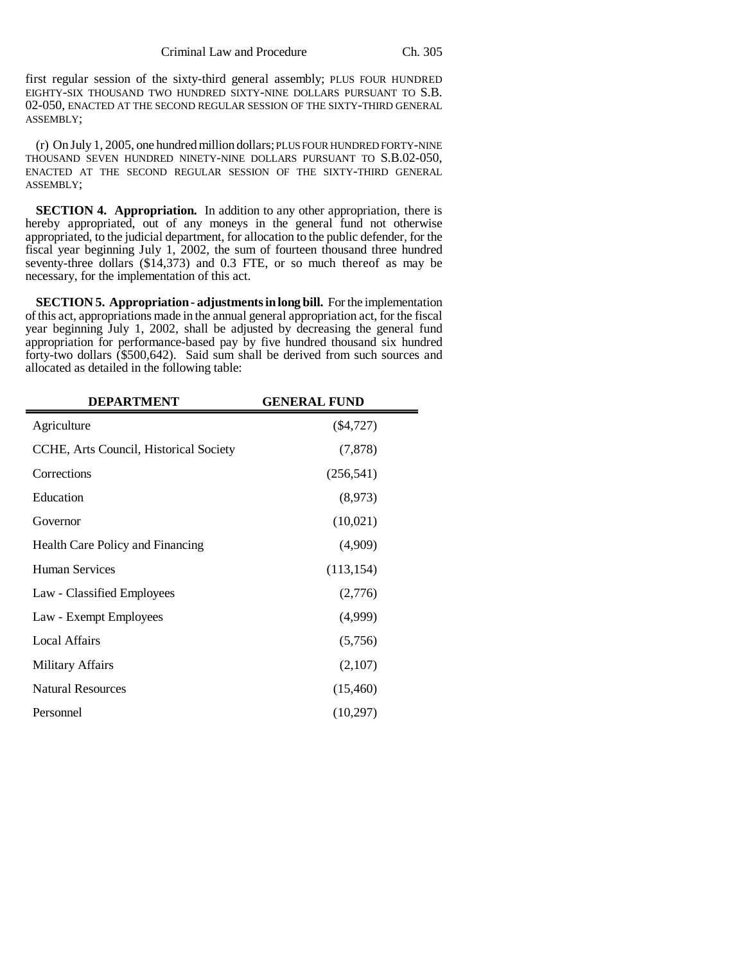first regular session of the sixty-third general assembly; PLUS FOUR HUNDRED EIGHTY-SIX THOUSAND TWO HUNDRED SIXTY-NINE DOLLARS PURSUANT TO S.B. 02-050, ENACTED AT THE SECOND REGULAR SESSION OF THE SIXTY-THIRD GENERAL ASSEMBLY;

(r) On July 1, 2005, one hundred million dollars; PLUS FOUR HUNDRED FORTY-NINE THOUSAND SEVEN HUNDRED NINETY-NINE DOLLARS PURSUANT TO S.B.02-050, ENACTED AT THE SECOND REGULAR SESSION OF THE SIXTY-THIRD GENERAL ASSEMBLY;

**SECTION 4. Appropriation.** In addition to any other appropriation, there is hereby appropriated, out of any moneys in the general fund not otherwise appropriated, to the judicial department, for allocation to the public defender, for the fiscal year beginning July 1, 2002, the sum of fourteen thousand three hundred seventy-three dollars (\$14,373) and 0.3 FTE, or so much thereof as may be necessary, for the implementation of this act.

**SECTION 5. Appropriation - adjustments in long bill.** For the implementation of this act, appropriations made in the annual general appropriation act, for the fiscal year beginning July 1, 2002, shall be adjusted by decreasing the general fund appropriation for performance-based pay by five hundred thousand six hundred forty-two dollars (\$500,642). Said sum shall be derived from such sources and allocated as detailed in the following table:

| <b>DEPARTMENT</b>                      | <b>GENERAL FUND</b> |
|----------------------------------------|---------------------|
| Agriculture                            | $(\$4,727)$         |
| CCHE, Arts Council, Historical Society | (7,878)             |
| Corrections                            | (256, 541)          |
| Education                              | (8,973)             |
| Governor                               | (10,021)            |
| Health Care Policy and Financing       | (4,909)             |
| Human Services                         | (113, 154)          |
| Law - Classified Employees             | (2,776)             |
| Law - Exempt Employees                 | (4,999)             |
| <b>Local Affairs</b>                   | (5,756)             |
| Military Affairs                       | (2,107)             |
| <b>Natural Resources</b>               | (15,460)            |
| Personnel                              | (10,297)            |